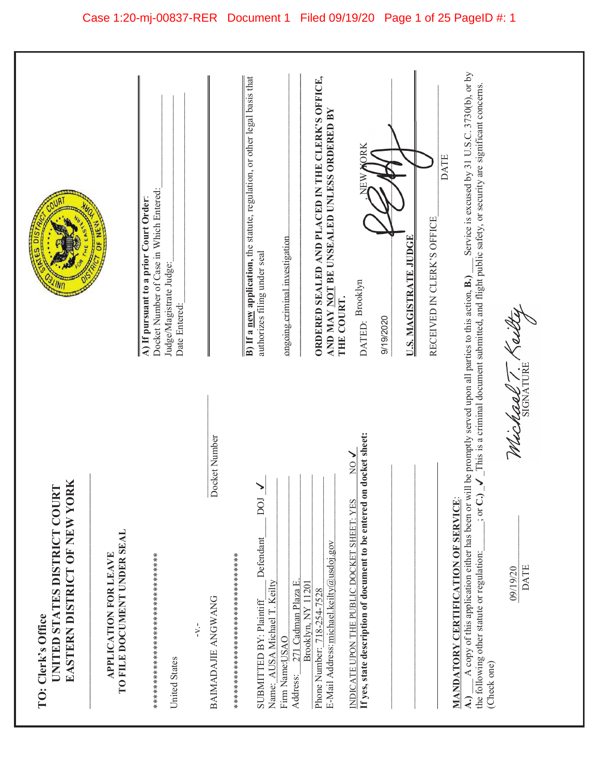|                                                                                    |                                                      | Docket Number of Case in Which Entered:<br>A) If pursuant to a prior Court Order:<br>Judge/Magistrate Judge:<br>Date Entered: |                                     | B) If a new application, the statute, regulation, or other legal basis that<br>ORDERED SEALED AND PLACED IN THE CLERK'S OFFICE,<br>AND MAY NOT BE UNSEALED UNLESS ORDERED BY<br>ORK<br><b>DATE</b><br>ŘE<br>RECEIVED IN CLERK'S OFFICE<br><u>U.S. MAGISTRATE JUDGE</u><br>ongoing criminal investigation<br>authorizes filing under seal<br>DATED: Brooklyn<br>THE COURT.<br>9/19/2020                                                               | Service is excused by 31 U.S.C. 3730(b), or by<br>This is a criminal document submitted, and flight public safety, or security are significant concerns.                                                                                                                                 |
|------------------------------------------------------------------------------------|------------------------------------------------------|-------------------------------------------------------------------------------------------------------------------------------|-------------------------------------|------------------------------------------------------------------------------------------------------------------------------------------------------------------------------------------------------------------------------------------------------------------------------------------------------------------------------------------------------------------------------------------------------------------------------------------------------|------------------------------------------------------------------------------------------------------------------------------------------------------------------------------------------------------------------------------------------------------------------------------------------|
| EASTERN DISTRICT OF NEW YORK<br>UNITED STATES DISTRICT COURT<br>TO: Clerk's Office | TO FILE DOCUMENT UNDER SEAL<br>APPLICATION FOR LEAVE | **********************************<br>$-V -$<br>United States                                                                 | Docket Number<br>BAIMADAJIE ANGWANG | If yes, state description of document to be entered on docket sheet:<br>$\frac{1}{2}$<br>MANDATORY CERTIFICATION OF SERVICE:<br>DOI<br>INDICATE UPON THE PUBLIC DOCKET SHEET: YES<br>Defendant<br>E-Mail Address: michael.keilty@usdoj.gov<br>***********************************<br>271 Cadman Plaza E<br>Name: AUSA Michael T. Keilty<br>Brooklyn, NY 11201<br>Phone Number: 718-254-7528<br>SUBMITTED BY: Plaintiff<br>Firm Name:USAO<br>Address: | A copy of this application either has been or will be promptly served upon all parties to this action, B.)<br>Window T<br>$\sum_{i=1}^{n}$<br>$\frac{1}{2}$ or $\frac{1}{2}$<br>the following other statute or regulation:<br>DATE<br>09/19/20<br>(Check one)<br>$\widehat{\mathcal{A}}$ |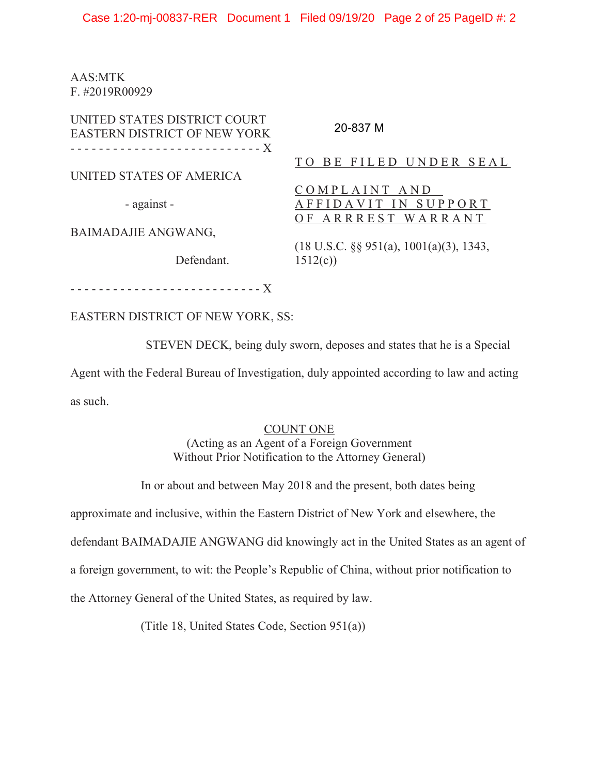AAS:MTK F. #2019R00929

UNITED STATES DISTRICT COURT EASTERN DISTRICT OF NEW YORK ---------------------------X UNITED STATES OF AMERICA - against - BAIMADAJIE ANGWANG, Defendant. ---------------------------X TO BE FILED UNDER SEAL COMPLAINT AND A FFIDAVIT IN SUPPORT OF ARRREST WARRANT (18 U.S.C. §§ 951(a), 1001(a)(3), 1343,  $1512(c)$ 20-837 M

EASTERN DISTRICT OF NEW YORK, SS:

STEVEN DECK, being duly sworn, deposes and states that he is a Special

Agent with the Federal Bureau of Investigation, duly appointed according to law and acting as such.

## COUNT ONE

(Acting as an Agent of a Foreign Government Without Prior Notification to the Attorney General)

In or about and between May 2018 and the present, both dates being

approximate and inclusive, within the Eastern District of New York and elsewhere, the

defendant BAIMADAJIE ANGWANG did knowingly act in the United States as an agent of

a foreign government, to wit: the People's Republic of China, without prior notification to

the Attorney General of the United States, as required by law.

(Title 18, United States Code, Section 951(a))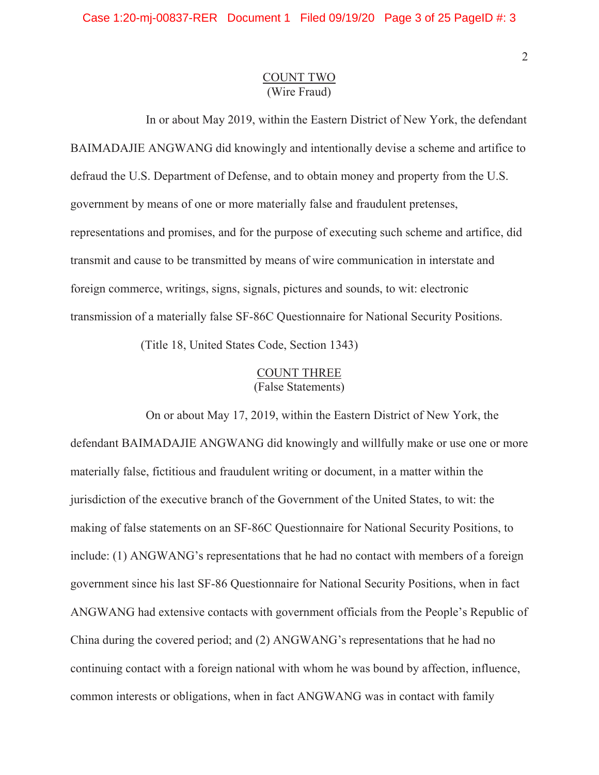## COUNT TWO (Wire Fraud)

In or about May 2019, within the Eastern District of New York, the defendant BAIMADAJIE ANGWANG did knowingly and intentionally devise a scheme and artifice to defraud the U.S. Department of Defense, and to obtain money and property from the U.S. government by means of one or more materially false and fraudulent pretenses, representations and promises, and for the purpose of executing such scheme and artifice, did transmit and cause to be transmitted by means of wire communication in interstate and foreign commerce, writings, signs, signals, pictures and sounds, to wit: electronic transmission of a materially false SF-86C Questionnaire for National Security Positions.

(Title 18, United States Code, Section 1343)

# COUNT THREE (False Statements)

On or about May 17, 2019, within the Eastern District of New York, the defendant BAIMADAJIE ANGWANG did knowingly and willfully make or use one or more materially false, fictitious and fraudulent writing or document, in a matter within the jurisdiction of the executive branch of the Government of the United States, to wit: the making of false statements on an SF-86C Questionnaire for National Security Positions, to include: (1) ANGWANG's representations that he had no contact with members of a foreign government since his last SF-86 Questionnaire for National Security Positions, when in fact ANGWANG had extensive contacts with government officials from the People's Republic of China during the covered period; and (2) ANGWANG's representations that he had no continuing contact with a foreign national with whom he was bound by affection, influence, common interests or obligations, when in fact ANGWANG was in contact with family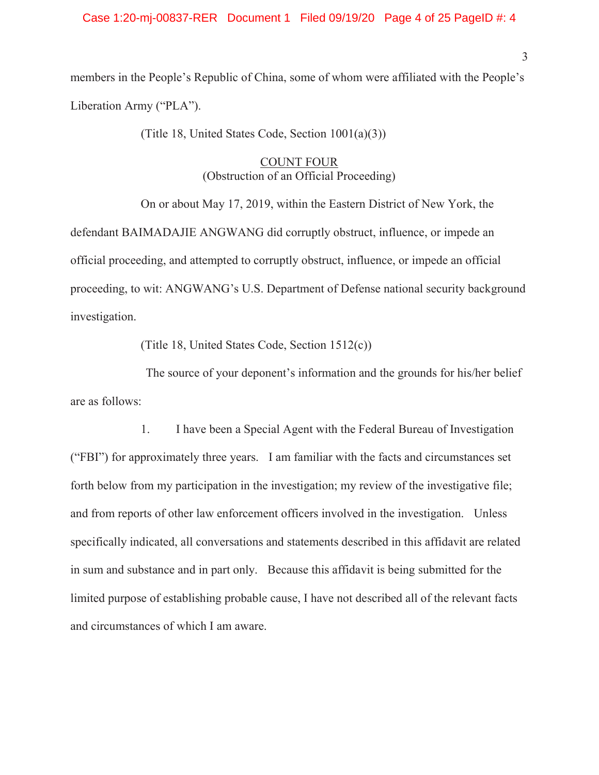#### Case 1:20-mj-00837-RER Document 1 Filed 09/19/20 Page 4 of 25 PageID #: 4

members in the People's Republic of China, some of whom were affiliated with the People's Liberation Army ("PLA").

(Title 18, United States Code, Section 1001(a)(3))

## COUNT FOUR (Obstruction of an Official Proceeding)

On or about May 17, 2019, within the Eastern District of New York, the defendant BAIMADAJIE ANGWANG did corruptly obstruct, influence, or impede an official proceeding, and attempted to corruptly obstruct, influence, or impede an official proceeding, to wit: ANGWANG's U.S. Department of Defense national security background investigation.

(Title 18, United States Code, Section 1512(c))

The source of your deponent's information and the grounds for his/her belief are as follows:

1. I have been a Special Agent with the Federal Bureau of Investigation ("FBI") for approximately three years. I am familiar with the facts and circumstances set forth below from my participation in the investigation; my review of the investigative file; and from reports of other law enforcement officers involved in the investigation. Unless specifically indicated, all conversations and statements described in this affidavit are related in sum and substance and in part only. Because this affidavit is being submitted for the limited purpose of establishing probable cause, I have not described all of the relevant facts and circumstances of which I am aware.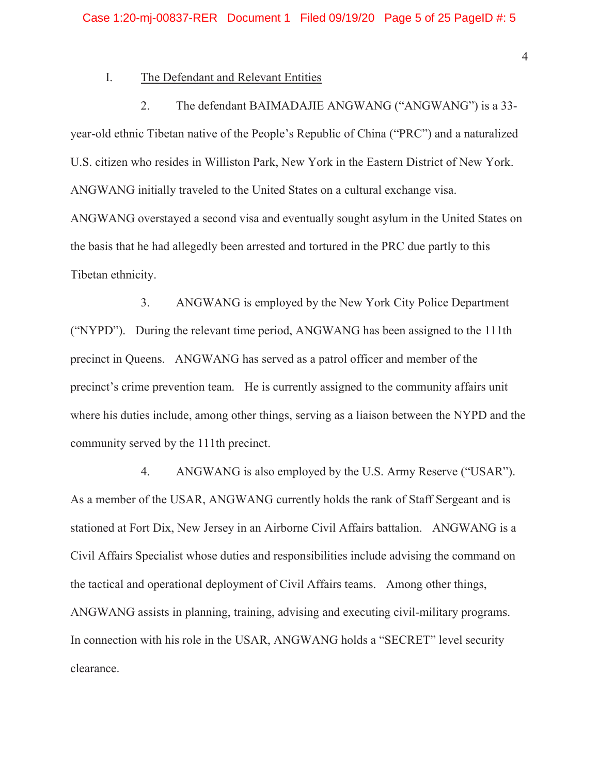### I. The Defendant and Relevant Entities

2. The defendant BAIMADAJIE ANGWANG ("ANGWANG") is a 33 year-old ethnic Tibetan native of the People's Republic of China ("PRC") and a naturalized U.S. citizen who resides in Williston Park, New York in the Eastern District of New York. ANGWANG initially traveled to the United States on a cultural exchange visa. ANGWANG overstayed a second visa and eventually sought asylum in the United States on the basis that he had allegedly been arrested and tortured in the PRC due partly to this Tibetan ethnicity.

3. ANGWANG is employed by the New York City Police Department ("NYPD"). During the relevant time period, ANGWANG has been assigned to the 111th precinct in Queens. ANGWANG has served as a patrol officer and member of the precinct's crime prevention team. He is currently assigned to the community affairs unit where his duties include, among other things, serving as a liaison between the NYPD and the community served by the 111th precinct.

4. ANGWANG is also employed by the U.S. Army Reserve ("USAR"). As a member of the USAR, ANGWANG currently holds the rank of Staff Sergeant and is stationed at Fort Dix, New Jersey in an Airborne Civil Affairs battalion. ANGWANG is a Civil Affairs Specialist whose duties and responsibilities include advising the command on the tactical and operational deployment of Civil Affairs teams. Among other things, ANGWANG assists in planning, training, advising and executing civil-military programs. In connection with his role in the USAR, ANGWANG holds a "SECRET" level security clearance.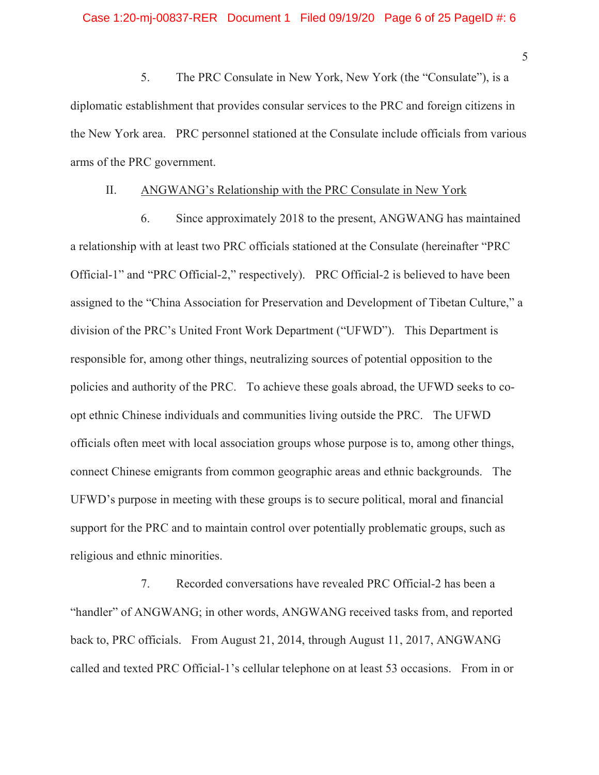5. The PRC Consulate in New York, New York (the "Consulate"), is a diplomatic establishment that provides consular services to the PRC and foreign citizens in the New York area. PRC personnel stationed at the Consulate include officials from various arms of the PRC government.

#### II. ANGWANG's Relationship with the PRC Consulate in New York

6. Since approximately 2018 to the present, ANGWANG has maintained a relationship with at least two PRC officials stationed at the Consulate (hereinafter "PRC Official-1" and "PRC Official-2," respectively). PRC Official-2 is believed to have been assigned to the "China Association for Preservation and Development of Tibetan Culture," a division of the PRC's United Front Work Department ("UFWD"). This Department is responsible for, among other things, neutralizing sources of potential opposition to the policies and authority of the PRC. To achieve these goals abroad, the UFWD seeks to coopt ethnic Chinese individuals and communities living outside the PRC. The UFWD officials often meet with local association groups whose purpose is to, among other things, connect Chinese emigrants from common geographic areas and ethnic backgrounds. The UFWD's purpose in meeting with these groups is to secure political, moral and financial support for the PRC and to maintain control over potentially problematic groups, such as religious and ethnic minorities.

7. Recorded conversations have revealed PRC Official-2 has been a "handler" of ANGWANG; in other words, ANGWANG received tasks from, and reported back to, PRC officials. From August 21, 2014, through August 11, 2017, ANGWANG called and texted PRC Official-1's cellular telephone on at least 53 occasions. From in or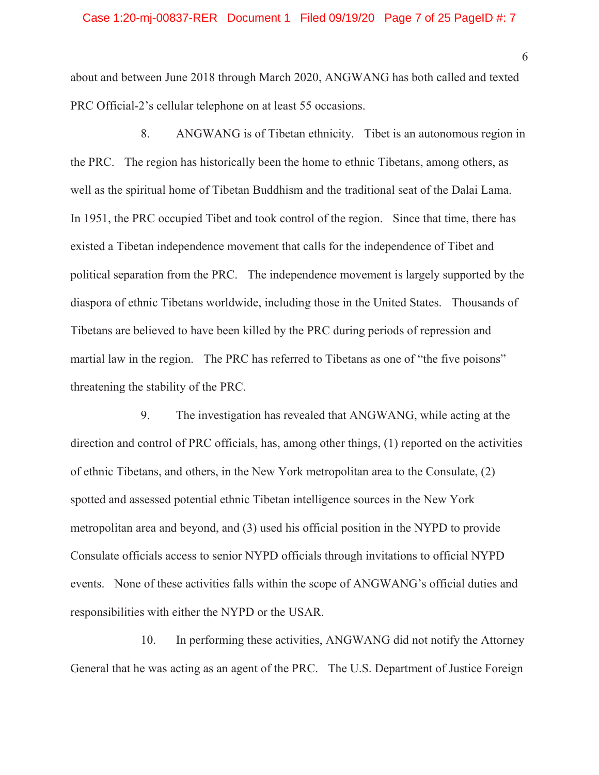about and between June 2018 through March 2020, ANGWANG has both called and texted PRC Official-2's cellular telephone on at least 55 occasions.

8. ANGWANG is of Tibetan ethnicity. Tibet is an autonomous region in the PRC. The region has historically been the home to ethnic Tibetans, among others, as well as the spiritual home of Tibetan Buddhism and the traditional seat of the Dalai Lama. In 1951, the PRC occupied Tibet and took control of the region. Since that time, there has existed a Tibetan independence movement that calls for the independence of Tibet and political separation from the PRC. The independence movement is largely supported by the diaspora of ethnic Tibetans worldwide, including those in the United States. Thousands of Tibetans are believed to have been killed by the PRC during periods of repression and martial law in the region. The PRC has referred to Tibetans as one of "the five poisons" threatening the stability of the PRC.

9. The investigation has revealed that ANGWANG, while acting at the direction and control of PRC officials, has, among other things, (1) reported on the activities of ethnic Tibetans, and others, in the New York metropolitan area to the Consulate, (2) spotted and assessed potential ethnic Tibetan intelligence sources in the New York metropolitan area and beyond, and (3) used his official position in the NYPD to provide Consulate officials access to senior NYPD officials through invitations to official NYPD events. None of these activities falls within the scope of ANGWANG's official duties and responsibilities with either the NYPD or the USAR.

10. In performing these activities, ANGWANG did not notify the Attorney General that he was acting as an agent of the PRC. The U.S. Department of Justice Foreign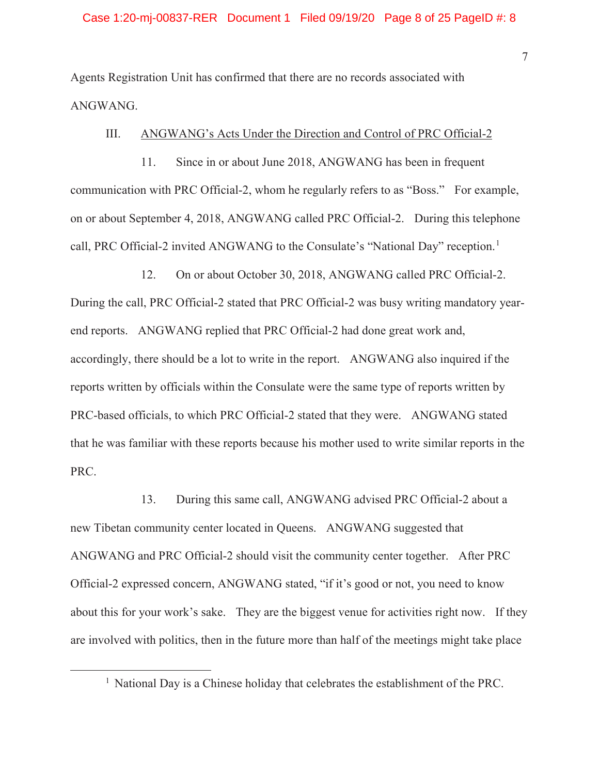Agents Registration Unit has confirmed that there are no records associated with ANGWANG.

### III. ANGWANG's Acts Under the Direction and Control of PRC Official-2

11. Since in or about June 2018, ANGWANG has been in frequent communication with PRC Official-2, whom he regularly refers to as "Boss." For example, on or about September 4, 2018, ANGWANG called PRC Official-2. During this telephone call, PRC Official-2 invited ANGWANG to the Consulate's "National Day" reception.<sup>1</sup>

12. On or about October 30, 2018, ANGWANG called PRC Official-2. During the call, PRC Official-2 stated that PRC Official-2 was busy writing mandatory yearend reports. ANGWANG replied that PRC Official-2 had done great work and, accordingly, there should be a lot to write in the report. ANGWANG also inquired if the reports written by officials within the Consulate were the same type of reports written by PRC-based officials, to which PRC Official-2 stated that they were. ANGWANG stated that he was familiar with these reports because his mother used to write similar reports in the PRC.

13. During this same call, ANGWANG advised PRC Official-2 about a new Tibetan community center located in Queens. ANGWANG suggested that ANGWANG and PRC Official-2 should visit the community center together. After PRC Official-2 expressed concern, ANGWANG stated, "if it's good or not, you need to know about this for your work's sake. They are the biggest venue for activities right now. If they are involved with politics, then in the future more than half of the meetings might take place

<sup>&</sup>lt;sup>1</sup> National Day is a Chinese holiday that celebrates the establishment of the PRC.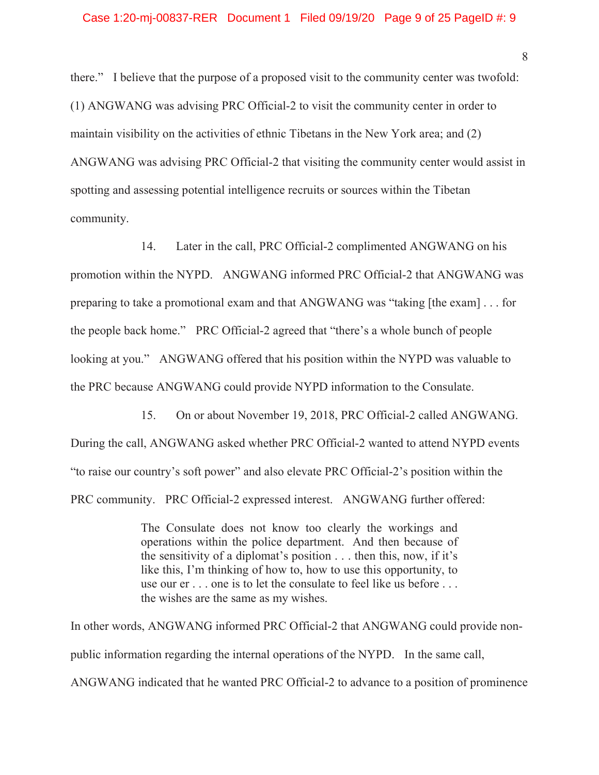there." I believe that the purpose of a proposed visit to the community center was twofold: (1) ANGWANG was advising PRC Official-2 to visit the community center in order to maintain visibility on the activities of ethnic Tibetans in the New York area; and (2) ANGWANG was advising PRC Official-2 that visiting the community center would assist in spotting and assessing potential intelligence recruits or sources within the Tibetan community.

14. Later in the call, PRC Official-2 complimented ANGWANG on his promotion within the NYPD. ANGWANG informed PRC Official-2 that ANGWANG was preparing to take a promotional exam and that ANGWANG was "taking [the exam] . . . for the people back home." PRC Official-2 agreed that "there's a whole bunch of people looking at you." ANGWANG offered that his position within the NYPD was valuable to the PRC because ANGWANG could provide NYPD information to the Consulate.

15. On or about November 19, 2018, PRC Official-2 called ANGWANG. During the call, ANGWANG asked whether PRC Official-2 wanted to attend NYPD events "to raise our country's soft power" and also elevate PRC Official-2's position within the PRC community. PRC Official-2 expressed interest. ANGWANG further offered:

> The Consulate does not know too clearly the workings and operations within the police department. And then because of the sensitivity of a diplomat's position . . . then this, now, if it's like this, I'm thinking of how to, how to use this opportunity, to use our er . . . one is to let the consulate to feel like us before . . . the wishes are the same as my wishes.

In other words, ANGWANG informed PRC Official-2 that ANGWANG could provide nonpublic information regarding the internal operations of the NYPD. In the same call, ANGWANG indicated that he wanted PRC Official-2 to advance to a position of prominence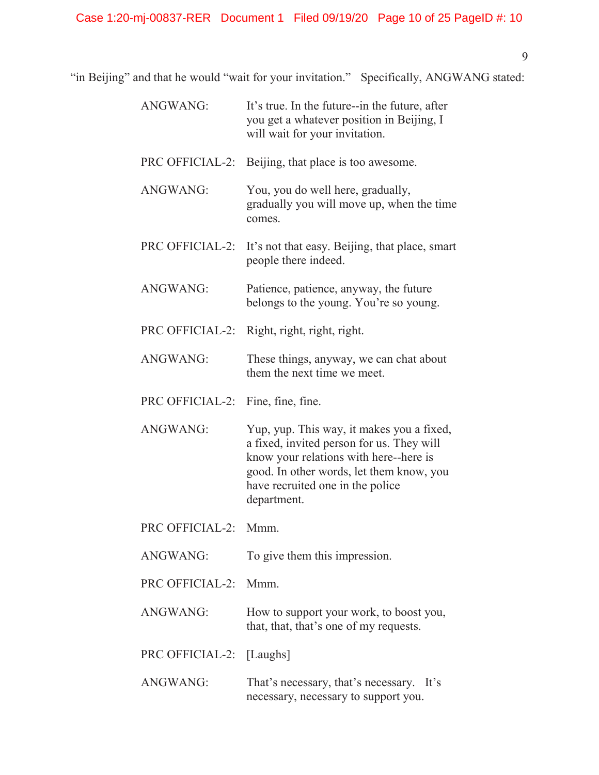"in Beijing" and that he would "wait for your invitation." Specifically, ANGWANG stated:

| <b>ANGWANG:</b>      | It's true. In the future--in the future, after<br>you get a whatever position in Beijing, I<br>will wait for your invitation.                                                                                                   |
|----------------------|---------------------------------------------------------------------------------------------------------------------------------------------------------------------------------------------------------------------------------|
| PRC OFFICIAL-2:      | Beijing, that place is too awesome.                                                                                                                                                                                             |
| <b>ANGWANG:</b>      | You, you do well here, gradually,<br>gradually you will move up, when the time<br>comes.                                                                                                                                        |
| PRC OFFICIAL-2:      | It's not that easy. Beijing, that place, smart<br>people there indeed.                                                                                                                                                          |
| <b>ANGWANG:</b>      | Patience, patience, anyway, the future<br>belongs to the young. You're so young.                                                                                                                                                |
| PRC OFFICIAL-2:      | Right, right, right, right.                                                                                                                                                                                                     |
| <b>ANGWANG:</b>      | These things, anyway, we can chat about<br>them the next time we meet.                                                                                                                                                          |
| PRC OFFICIAL-2:      | Fine, fine, fine.                                                                                                                                                                                                               |
| <b>ANGWANG:</b>      | Yup, yup. This way, it makes you a fixed,<br>a fixed, invited person for us. They will<br>know your relations with here--here is<br>good. In other words, let them know, you<br>have recruited one in the police<br>department. |
| PRC OFFICIAL-2:      | Mmm.                                                                                                                                                                                                                            |
| <b>ANGWANG:</b>      | To give them this impression.                                                                                                                                                                                                   |
| PRC OFFICIAL-2: Mmm. |                                                                                                                                                                                                                                 |
| <b>ANGWANG:</b>      | How to support your work, to boost you,<br>that, that, that's one of my requests.                                                                                                                                               |
| PRC OFFICIAL-2:      | [Laughs]                                                                                                                                                                                                                        |
| <b>ANGWANG:</b>      | That's necessary, that's necessary.<br>It's<br>necessary, necessary to support you.                                                                                                                                             |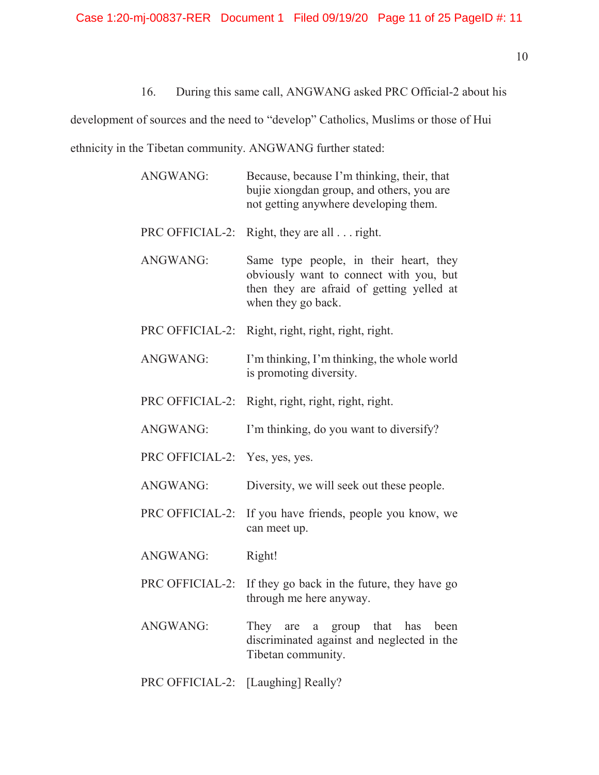# 16. During this same call, ANGWANG asked PRC Official-2 about his

development of sources and the need to "develop" Catholics, Muslims or those of Hui

ethnicity in the Tibetan community. ANGWANG further stated:

| ANGWANG:                       | Because, because I'm thinking, their, that<br>bujie xiongdan group, and others, you are<br>not getting anywhere developing them.                     |  |
|--------------------------------|------------------------------------------------------------------------------------------------------------------------------------------------------|--|
| PRC OFFICIAL-2:                | Right, they are all $\ldots$ right.                                                                                                                  |  |
| ANGWANG:                       | Same type people, in their heart, they<br>obviously want to connect with you, but<br>then they are afraid of getting yelled at<br>when they go back. |  |
| PRC OFFICIAL-2:                | Right, right, right, right, right.                                                                                                                   |  |
| <b>ANGWANG:</b>                | I'm thinking, I'm thinking, the whole world<br>is promoting diversity.                                                                               |  |
| PRC OFFICIAL-2:                | Right, right, right, right, right.                                                                                                                   |  |
| ANGWANG:                       | I'm thinking, do you want to diversify?                                                                                                              |  |
| PRC OFFICIAL-2: Yes, yes, yes. |                                                                                                                                                      |  |
| ANGWANG:                       | Diversity, we will seek out these people.                                                                                                            |  |
| PRC OFFICIAL-2:                | If you have friends, people you know, we<br>can meet up.                                                                                             |  |
| ANGWANG:                       | Right!                                                                                                                                               |  |
| PRC OFFICIAL-2:                | If they go back in the future, they have go<br>through me here anyway.                                                                               |  |
| <b>ANGWANG:</b>                | They are a<br>group that has been<br>discriminated against and neglected in the<br>Tibetan community.                                                |  |

PRC OFFICIAL-2: [Laughing] Really?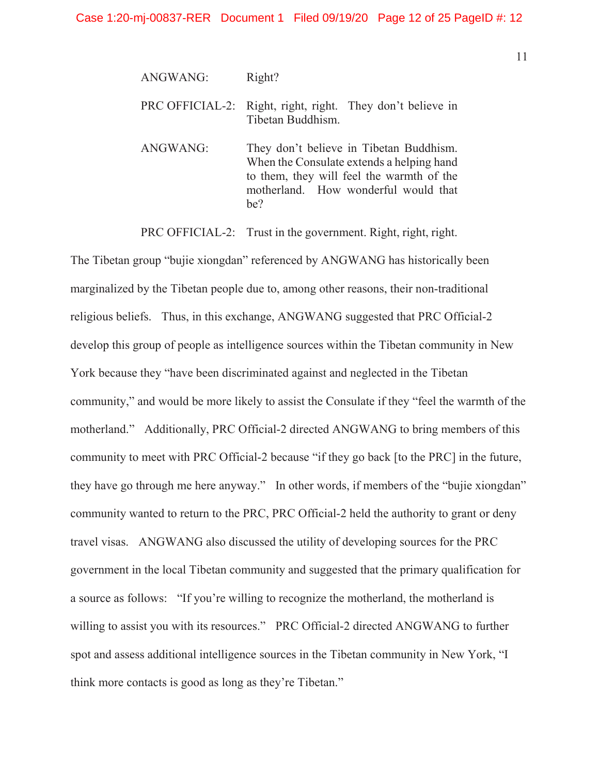| <b>ANGWANG:</b> | Right? |
|-----------------|--------|
|-----------------|--------|

PRC OFFICIAL-2: Right, right, right. They don't believe in Tibetan Buddhism.

ANGWANG: They don't believe in Tibetan Buddhism. When the Consulate extends a helping hand to them, they will feel the warmth of the motherland. How wonderful would that be?

PRC OFFICIAL-2: Trust in the government. Right, right, right.

The Tibetan group "bujie xiongdan" referenced by ANGWANG has historically been marginalized by the Tibetan people due to, among other reasons, their non-traditional religious beliefs. Thus, in this exchange, ANGWANG suggested that PRC Official-2 develop this group of people as intelligence sources within the Tibetan community in New York because they "have been discriminated against and neglected in the Tibetan community," and would be more likely to assist the Consulate if they "feel the warmth of the motherland." Additionally, PRC Official-2 directed ANGWANG to bring members of this community to meet with PRC Official-2 because "if they go back [to the PRC] in the future, they have go through me here anyway." In other words, if members of the "bujie xiongdan" community wanted to return to the PRC, PRC Official-2 held the authority to grant or deny travel visas. ANGWANG also discussed the utility of developing sources for the PRC government in the local Tibetan community and suggested that the primary qualification for a source as follows: "If you're willing to recognize the motherland, the motherland is willing to assist you with its resources." PRC Official-2 directed ANGWANG to further spot and assess additional intelligence sources in the Tibetan community in New York, "I think more contacts is good as long as they're Tibetan."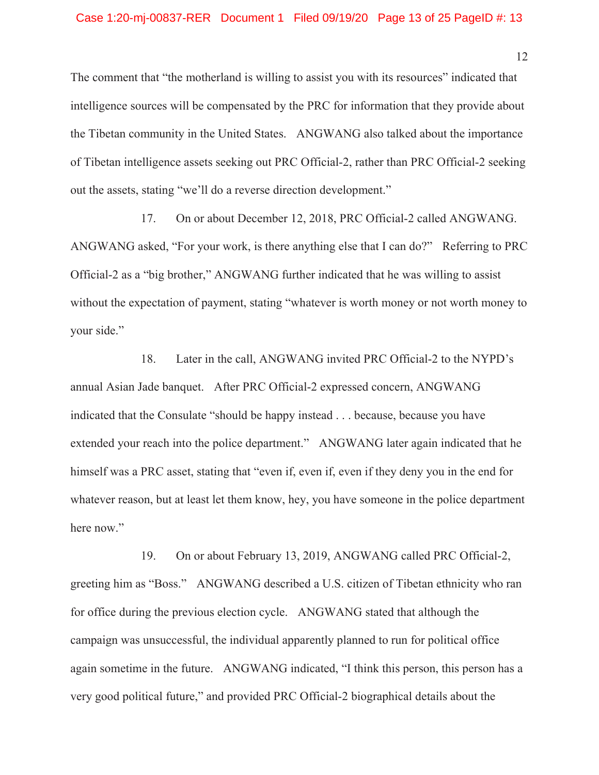#### Case 1:20-mj-00837-RER Document 1 Filed 09/19/20 Page 13 of 25 PageID #: 13

The comment that "the motherland is willing to assist you with its resources" indicated that intelligence sources will be compensated by the PRC for information that they provide about the Tibetan community in the United States. ANGWANG also talked about the importance of Tibetan intelligence assets seeking out PRC Official-2, rather than PRC Official-2 seeking out the assets, stating "we'll do a reverse direction development."

17. On or about December 12, 2018, PRC Official-2 called ANGWANG. ANGWANG asked, "For your work, is there anything else that I can do?" Referring to PRC Official-2 as a "big brother," ANGWANG further indicated that he was willing to assist without the expectation of payment, stating "whatever is worth money or not worth money to your side."

18. Later in the call, ANGWANG invited PRC Official-2 to the NYPD's annual Asian Jade banquet. After PRC Official-2 expressed concern, ANGWANG indicated that the Consulate "should be happy instead . . . because, because you have extended your reach into the police department." ANGWANG later again indicated that he himself was a PRC asset, stating that "even if, even if, even if they deny you in the end for whatever reason, but at least let them know, hey, you have someone in the police department here now."

19. On or about February 13, 2019, ANGWANG called PRC Official-2, greeting him as "Boss." ANGWANG described a U.S. citizen of Tibetan ethnicity who ran for office during the previous election cycle. ANGWANG stated that although the campaign was unsuccessful, the individual apparently planned to run for political office again sometime in the future. ANGWANG indicated, "I think this person, this person has a very good political future," and provided PRC Official-2 biographical details about the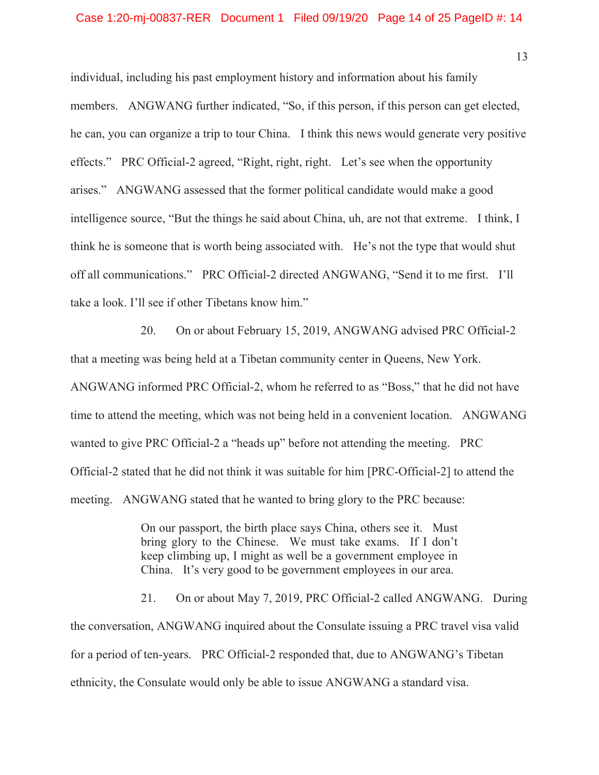individual, including his past employment history and information about his family members. ANGWANG further indicated, "So, if this person, if this person can get elected, he can, you can organize a trip to tour China. I think this news would generate very positive effects." PRC Official-2 agreed, "Right, right, right. Let's see when the opportunity arises." ANGWANG assessed that the former political candidate would make a good intelligence source, "But the things he said about China, uh, are not that extreme. I think, I think he is someone that is worth being associated with. He's not the type that would shut off all communications." PRC Official-2 directed ANGWANG, "Send it to me first. I'll take a look. I'll see if other Tibetans know him."

20. On or about February 15, 2019, ANGWANG advised PRC Official-2 that a meeting was being held at a Tibetan community center in Queens, New York. ANGWANG informed PRC Official-2, whom he referred to as "Boss," that he did not have time to attend the meeting, which was not being held in a convenient location. ANGWANG wanted to give PRC Official-2 a "heads up" before not attending the meeting. PRC Official-2 stated that he did not think it was suitable for him [PRC-Official-2] to attend the meeting. ANGWANG stated that he wanted to bring glory to the PRC because:

> On our passport, the birth place says China, others see it. Must bring glory to the Chinese. We must take exams. If I don't keep climbing up, I might as well be a government employee in China. It's very good to be government employees in our area.

21. On or about May 7, 2019, PRC Official-2 called ANGWANG. During the conversation, ANGWANG inquired about the Consulate issuing a PRC travel visa valid for a period of ten-years. PRC Official-2 responded that, due to ANGWANG's Tibetan ethnicity, the Consulate would only be able to issue ANGWANG a standard visa.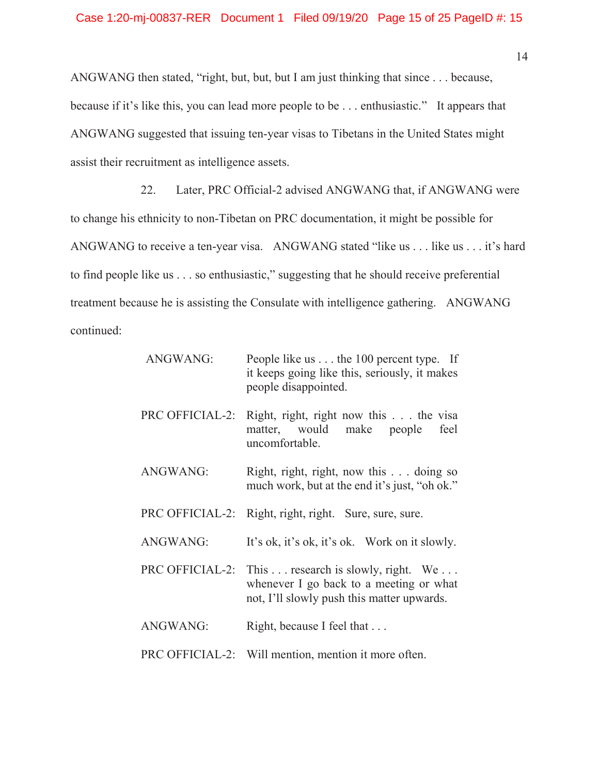ANGWANG then stated, "right, but, but, but I am just thinking that since . . . because, because if it's like this, you can lead more people to be . . . enthusiastic." It appears that ANGWANG suggested that issuing ten-year visas to Tibetans in the United States might assist their recruitment as intelligence assets.

22. Later, PRC Official-2 advised ANGWANG that, if ANGWANG were to change his ethnicity to non-Tibetan on PRC documentation, it might be possible for ANGWANG to receive a ten-year visa. ANGWANG stated "like us . . . like us . . . it's hard to find people like us . . . so enthusiastic," suggesting that he should receive preferential treatment because he is assisting the Consulate with intelligence gathering. ANGWANG continued:

| ANGWANG:        | People like us $\dots$ the 100 percent type. If<br>it keeps going like this, seriously, it makes<br>people disappointed.     |
|-----------------|------------------------------------------------------------------------------------------------------------------------------|
| PRC OFFICIAL-2: | Right, right, right now this the visa<br>matter, would make people<br>feel<br>uncomfortable.                                 |
| <b>ANGWANG:</b> | Right, right, right, now this $\dots$ doing so<br>much work, but at the end it's just, "oh ok."                              |
| PRC OFFICIAL-2: | Right, right, right. Sure, sure, sure.                                                                                       |
| <b>ANGWANG:</b> | It's ok, it's ok, it's ok. Work on it slowly.                                                                                |
| PRC OFFICIAL-2: | This  research is slowly, right. We<br>whenever I go back to a meeting or what<br>not, I'll slowly push this matter upwards. |
| <b>ANGWANG:</b> | Right, because I feel that                                                                                                   |
|                 | PRC OFFICIAL-2: Will mention, mention it more often.                                                                         |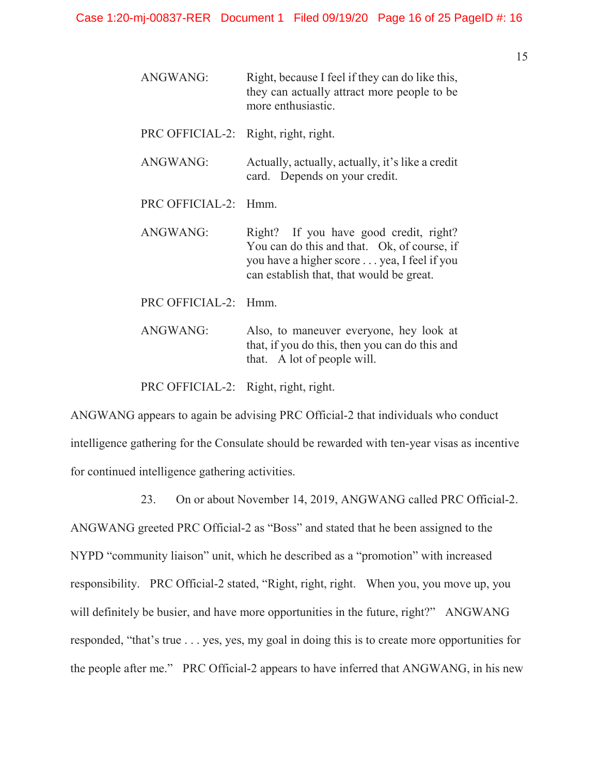| <b>ANGWANG:</b>                      | Right, because I feel if they can do like this,<br>they can actually attract more people to be<br>more enthusiastic.                                                            |
|--------------------------------------|---------------------------------------------------------------------------------------------------------------------------------------------------------------------------------|
| PRC OFFICIAL-2: Right, right, right. |                                                                                                                                                                                 |
| <b>ANGWANG:</b>                      | Actually, actually, actually, it's like a credit<br>card. Depends on your credit.                                                                                               |
| <b>PRC OFFICIAL-2:</b>               | Hmm                                                                                                                                                                             |
| ANGWANG:                             | Right? If you have good credit, right?<br>You can do this and that. Ok, of course, if<br>you have a higher score yea, I feel if you<br>can establish that, that would be great. |
| <b>PRC OFFICIAL-2:</b>               | Hmm                                                                                                                                                                             |
| <b>ANGWANG:</b>                      | Also, to maneuver everyone, hey look at<br>that, if you do this, then you can do this and<br>that. A lot of people will.                                                        |

PRC OFFICIAL-2: Right, right, right.

ANGWANG appears to again be advising PRC Official-2 that individuals who conduct intelligence gathering for the Consulate should be rewarded with ten-year visas as incentive for continued intelligence gathering activities.

23. On or about November 14, 2019, ANGWANG called PRC Official-2.

ANGWANG greeted PRC Official-2 as "Boss" and stated that he been assigned to the NYPD "community liaison" unit, which he described as a "promotion" with increased responsibility. PRC Official-2 stated, "Right, right, right. When you, you move up, you will definitely be busier, and have more opportunities in the future, right?" ANGWANG responded, "that's true . . . yes, yes, my goal in doing this is to create more opportunities for the people after me." PRC Official-2 appears to have inferred that ANGWANG, in his new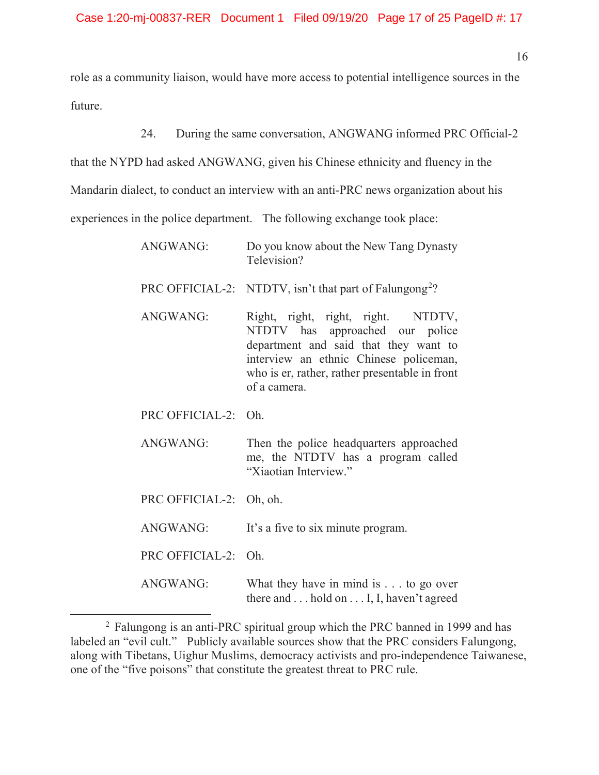role as a community liaison, would have more access to potential intelligence sources in the future.

24. During the same conversation, ANGWANG informed PRC Official-2

that the NYPD had asked ANGWANG, given his Chinese ethnicity and fluency in the

Mandarin dialect, to conduct an interview with an anti-PRC news organization about his

experiences in the police department. The following exchange took place:

| <b>ANGWANG:</b>         | Do you know about the New Tang Dynasty<br>Television?                                                                                                                                                                      |  |  |
|-------------------------|----------------------------------------------------------------------------------------------------------------------------------------------------------------------------------------------------------------------------|--|--|
|                         | PRC OFFICIAL-2: NTDTV, isn't that part of Falungong <sup>2</sup> ?                                                                                                                                                         |  |  |
| ANGWANG:                | Right, right, right, right. NTDTV,<br>NTDTV has approached our police<br>department and said that they want to<br>interview an ethnic Chinese policeman,<br>who is er, rather, rather presentable in front<br>of a camera. |  |  |
| PRC OFFICIAL-2: Oh.     |                                                                                                                                                                                                                            |  |  |
| ANGWANG:                | Then the police headquarters approached<br>me, the NTDTV has a program called<br>"Xiaotian Interview."                                                                                                                     |  |  |
| PRC OFFICIAL-2: Oh, oh. |                                                                                                                                                                                                                            |  |  |
| <b>ANGWANG:</b>         | It's a five to six minute program.                                                                                                                                                                                         |  |  |
| PRC OFFICIAL-2: Oh.     |                                                                                                                                                                                                                            |  |  |
| <b>ANGWANG:</b>         | What they have in mind is $\dots$ to go over                                                                                                                                                                               |  |  |

there and . . . hold on . . . I, I, haven't agreed

<sup>2</sup> Falungong is an anti-PRC spiritual group which the PRC banned in 1999 and has labeled an "evil cult." Publicly available sources show that the PRC considers Falungong, along with Tibetans, Uighur Muslims, democracy activists and pro-independence Taiwanese, one of the "five poisons" that constitute the greatest threat to PRC rule.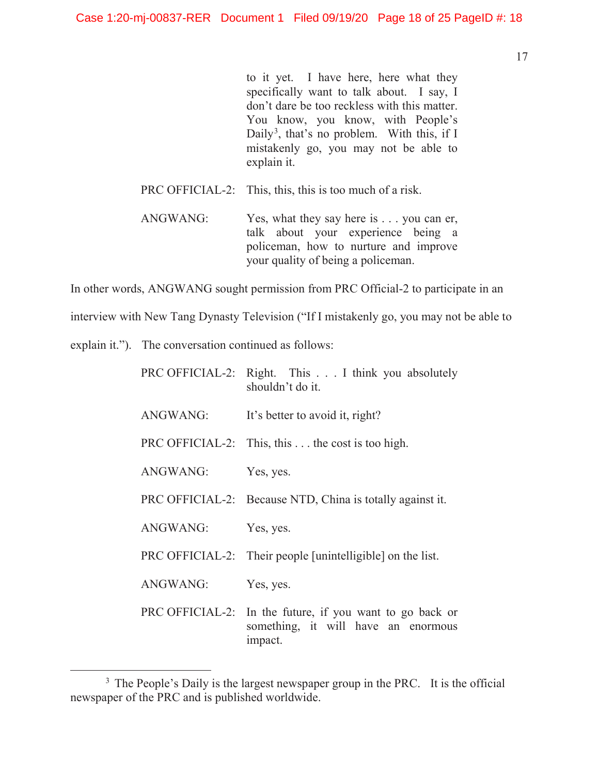to it yet. I have here, here what they specifically want to talk about. I say, I don't dare be too reckless with this matter. You know, you know, with People's Daily<sup>3</sup>, that's no problem. With this, if I mistakenly go, you may not be able to explain it.

- PRC OFFICIAL-2: This, this, this is too much of a risk.
- ANGWANG: Yes, what they say here is . . . you can er, talk about your experience being a policeman, how to nurture and improve your quality of being a policeman.

In other words, ANGWANG sought permission from PRC Official-2 to participate in an

interview with New Tang Dynasty Television ("If I mistakenly go, you may not be able to

explain it."). The conversation continued as follows:

|                 | PRC OFFICIAL-2: Right. This I think you absolutely<br>shouldn't do it.                                     |
|-----------------|------------------------------------------------------------------------------------------------------------|
| ANGWANG:        | It's better to avoid it, right?                                                                            |
|                 | PRC OFFICIAL-2: This, this $\dots$ the cost is too high.                                                   |
| ANGWANG:        | Yes, yes.                                                                                                  |
|                 | PRC OFFICIAL-2: Because NTD, China is totally against it.                                                  |
| ANGWANG:        | Yes, yes.                                                                                                  |
|                 | PRC OFFICIAL-2: Their people [unintelligible] on the list.                                                 |
| <b>ANGWANG:</b> | Yes, yes.                                                                                                  |
|                 | PRC OFFICIAL-2: In the future, if you want to go back or<br>something, it will have an enormous<br>impact. |

<sup>&</sup>lt;sup>3</sup> The People's Daily is the largest newspaper group in the PRC. It is the official newspaper of the PRC and is published worldwide.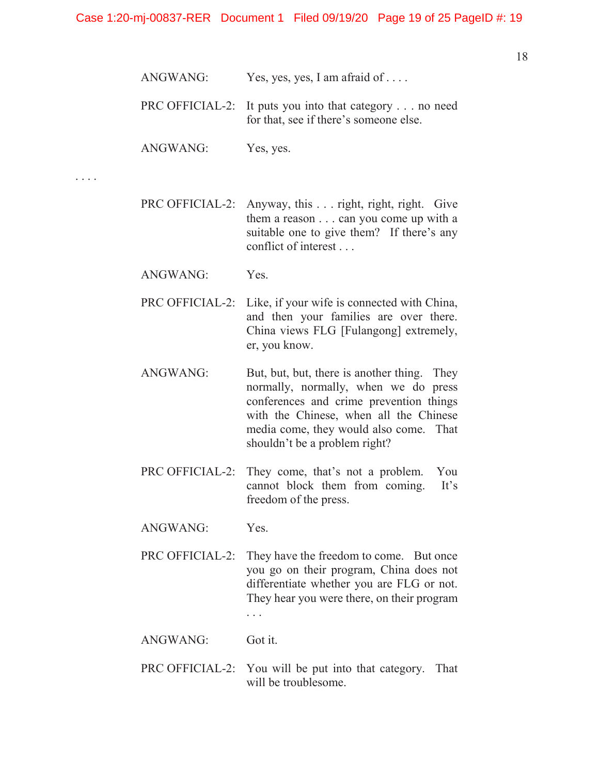| ANGWANG: | Yes, yes, yes, I am afraid of |
|----------|-------------------------------|
|          |                               |

- PRC OFFICIAL-2: It puts you into that category . . . no need for that, see if there's someone else.
- ANGWANG: Yes, yes.

. . . .

- PRC OFFICIAL-2: Anyway, this . . . right, right, right. Give them a reason . . . can you come up with a suitable one to give them? If there's any conflict of interest . . .
- ANGWANG: Yes.
- PRC OFFICIAL-2: Like, if your wife is connected with China, and then your families are over there. China views FLG [Fulangong] extremely, er, you know.
- ANGWANG: But, but, but, there is another thing. They normally, normally, when we do press conferences and crime prevention things with the Chinese, when all the Chinese media come, they would also come. That shouldn't be a problem right?
- PRC OFFICIAL-2: They come, that's not a problem. You cannot block them from coming. It's freedom of the press.
- ANGWANG: Yes.
- PRC OFFICIAL-2: They have the freedom to come. But once you go on their program, China does not differentiate whether you are FLG or not. They hear you were there, on their program . . .
- ANGWANG: Got it.
- PRC OFFICIAL-2: You will be put into that category. That will be troublesome.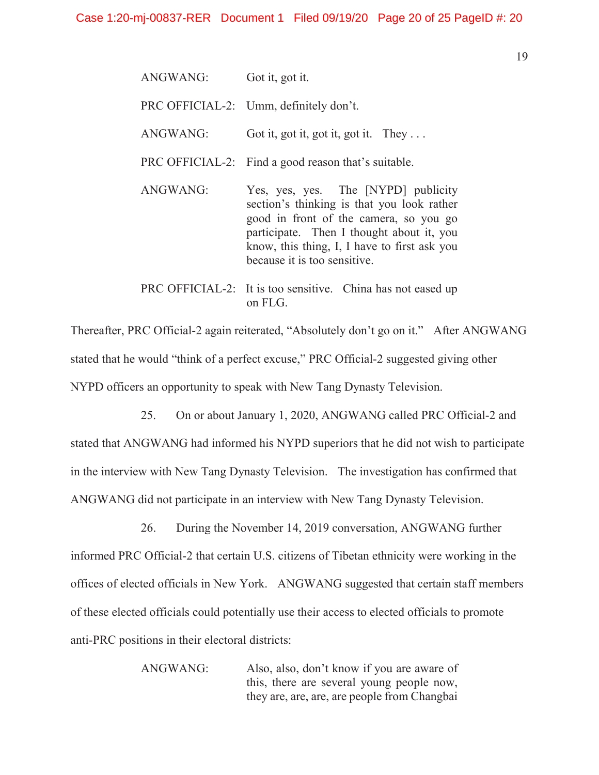| ANGWANG: | Got it, got it.                                                                                                                                                                                                                                          |  |  |
|----------|----------------------------------------------------------------------------------------------------------------------------------------------------------------------------------------------------------------------------------------------------------|--|--|
|          | PRC OFFICIAL-2: Umm, definitely don't.                                                                                                                                                                                                                   |  |  |
| ANGWANG: | Got it, got it, got it, got it. They                                                                                                                                                                                                                     |  |  |
|          | PRC OFFICIAL-2: Find a good reason that's suitable.                                                                                                                                                                                                      |  |  |
| ANGWANG: | Yes, yes, yes. The [NYPD] publicity<br>section's thinking is that you look rather<br>good in front of the camera, so you go<br>participate. Then I thought about it, you<br>know, this thing, I, I have to first ask you<br>because it is too sensitive. |  |  |
|          | PRC OFFICIAL-2: It is too sensitive. China has not eased up<br>on FLG.                                                                                                                                                                                   |  |  |

Thereafter, PRC Official-2 again reiterated, "Absolutely don't go on it." After ANGWANG stated that he would "think of a perfect excuse," PRC Official-2 suggested giving other NYPD officers an opportunity to speak with New Tang Dynasty Television.

25. On or about January 1, 2020, ANGWANG called PRC Official-2 and stated that ANGWANG had informed his NYPD superiors that he did not wish to participate in the interview with New Tang Dynasty Television. The investigation has confirmed that ANGWANG did not participate in an interview with New Tang Dynasty Television.

26. During the November 14, 2019 conversation, ANGWANG further informed PRC Official-2 that certain U.S. citizens of Tibetan ethnicity were working in the offices of elected officials in New York. ANGWANG suggested that certain staff members of these elected officials could potentially use their access to elected officials to promote anti-PRC positions in their electoral districts:

> ANGWANG: Also, also, don't know if you are aware of this, there are several young people now, they are, are, are, are people from Changbai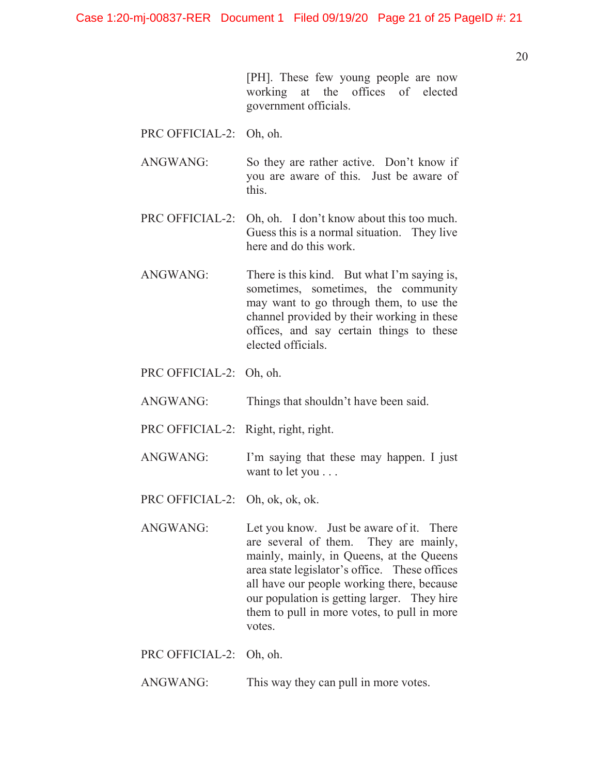[PH]. These few young people are now working at the offices of elected government officials.

PRC OFFICIAL-2: Oh, oh.

ANGWANG: So they are rather active. Don't know if you are aware of this. Just be aware of this.

PRC OFFICIAL-2: Oh, oh. I don't know about this too much. Guess this is a normal situation. They live here and do this work.

ANGWANG: There is this kind. But what I'm saying is, sometimes, sometimes, the community may want to go through them, to use the channel provided by their working in these offices, and say certain things to these elected officials.

- PRC OFFICIAL-2: Oh, oh.
- ANGWANG: Things that shouldn't have been said.
- PRC OFFICIAL-2: Right, right, right.
- ANGWANG: I'm saying that these may happen. I just want to let you . . .
- PRC OFFICIAL-2: Oh, ok, ok, ok.
- ANGWANG: Let you know. Just be aware of it. There are several of them. They are mainly, mainly, mainly, in Queens, at the Queens area state legislator's office. These offices all have our people working there, because our population is getting larger. They hire them to pull in more votes, to pull in more votes.
- PRC OFFICIAL-2: Oh, oh.
- ANGWANG: This way they can pull in more votes.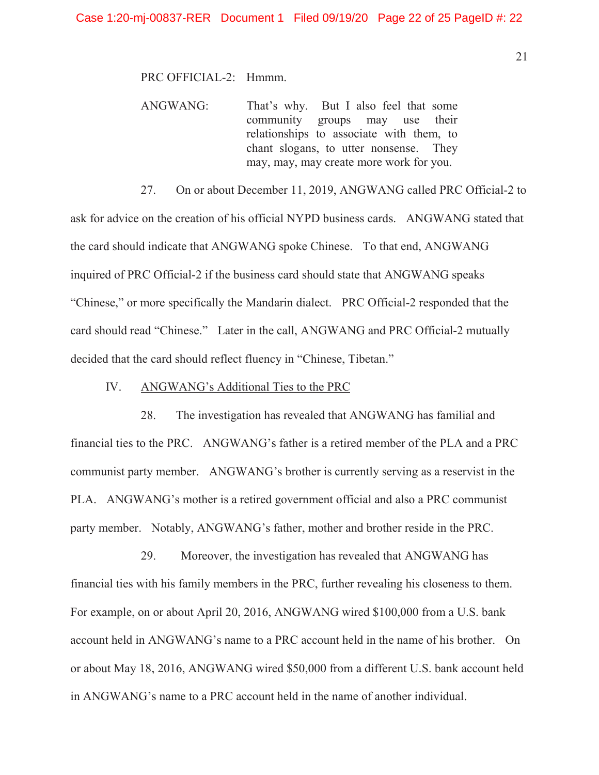PRC OFFICIAL-2: Hmmm.

ANGWANG: That's why. But I also feel that some community groups may use their relationships to associate with them, to chant slogans, to utter nonsense. They may, may, may create more work for you.

27. On or about December 11, 2019, ANGWANG called PRC Official-2 to ask for advice on the creation of his official NYPD business cards. ANGWANG stated that the card should indicate that ANGWANG spoke Chinese. To that end, ANGWANG inquired of PRC Official-2 if the business card should state that ANGWANG speaks "Chinese," or more specifically the Mandarin dialect. PRC Official-2 responded that the card should read "Chinese." Later in the call, ANGWANG and PRC Official-2 mutually decided that the card should reflect fluency in "Chinese, Tibetan."

### IV. ANGWANG's Additional Ties to the PRC

28. The investigation has revealed that ANGWANG has familial and financial ties to the PRC. ANGWANG's father is a retired member of the PLA and a PRC communist party member. ANGWANG's brother is currently serving as a reservist in the PLA. ANGWANG's mother is a retired government official and also a PRC communist party member. Notably, ANGWANG's father, mother and brother reside in the PRC.

29. Moreover, the investigation has revealed that ANGWANG has financial ties with his family members in the PRC, further revealing his closeness to them. For example, on or about April 20, 2016, ANGWANG wired \$100,000 from a U.S. bank account held in ANGWANG's name to a PRC account held in the name of his brother. On or about May 18, 2016, ANGWANG wired \$50,000 from a different U.S. bank account held in ANGWANG's name to a PRC account held in the name of another individual.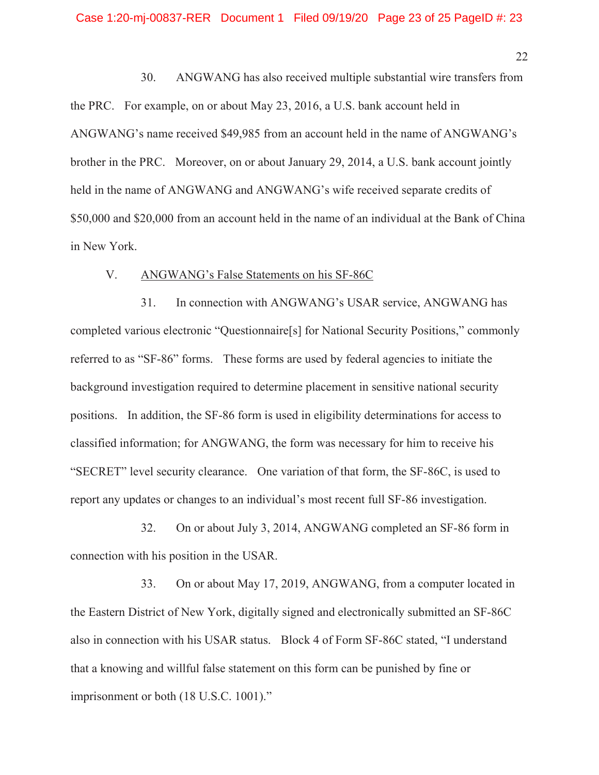30. ANGWANG has also received multiple substantial wire transfers from the PRC. For example, on or about May 23, 2016, a U.S. bank account held in ANGWANG's name received \$49,985 from an account held in the name of ANGWANG's brother in the PRC. Moreover, on or about January 29, 2014, a U.S. bank account jointly held in the name of ANGWANG and ANGWANG's wife received separate credits of \$50,000 and \$20,000 from an account held in the name of an individual at the Bank of China in New York.

### V. ANGWANG's False Statements on his SF-86C

31. In connection with ANGWANG's USAR service, ANGWANG has completed various electronic "Questionnaire[s] for National Security Positions," commonly referred to as "SF-86" forms. These forms are used by federal agencies to initiate the background investigation required to determine placement in sensitive national security positions. In addition, the SF-86 form is used in eligibility determinations for access to classified information; for ANGWANG, the form was necessary for him to receive his "SECRET" level security clearance. One variation of that form, the SF-86C, is used to report any updates or changes to an individual's most recent full SF-86 investigation.

32. On or about July 3, 2014, ANGWANG completed an SF-86 form in connection with his position in the USAR.

33. On or about May 17, 2019, ANGWANG, from a computer located in the Eastern District of New York, digitally signed and electronically submitted an SF-86C also in connection with his USAR status. Block 4 of Form SF-86C stated, "I understand that a knowing and willful false statement on this form can be punished by fine or imprisonment or both (18 U.S.C. 1001)."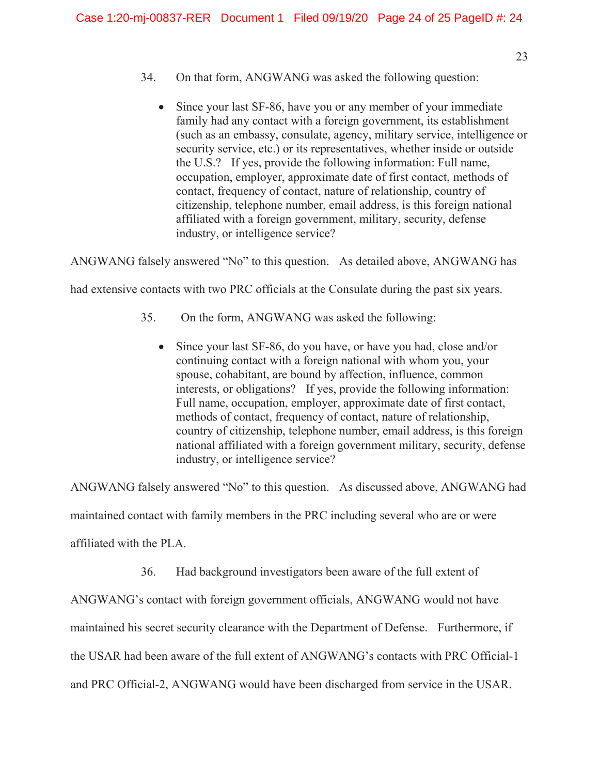- 23
- 34. On that form, ANGWANG was asked the following question:
	- Since your last SF-86, have you or any member of your immediate family had any contact with a foreign government, its establishment (such as an embassy, consulate, agency, military service, intelligence or security service, etc.) or its representatives, whether inside or outside the U.S.? If yes, provide the following information: Full name, occupation, employer, approximate date of first contact, methods of contact, frequency of contact, nature of relationship, country of citizenship, telephone number, email address, is this foreign national affiliated with a foreign government, military, security, defense industry, or intelligence service?

ANGWANG falsely answered "No" to this question. As detailed above, ANGWANG has

had extensive contacts with two PRC officials at the Consulate during the past six years.

- 35. On the form, ANGWANG was asked the following:
	- $\bullet$  Since your last SF-86, do you have, or have you had, close and/or continuing contact with a foreign national with whom you, your spouse, cohabitant, are bound by affection, influence, common interests, or obligations? If yes, provide the following information: Full name, occupation, employer, approximate date of first contact, methods of contact, frequency of contact, nature of relationship, country of citizenship, telephone number, email address, is this foreign national affiliated with a foreign government military, security, defense industry, or intelligence service?

ANGWANG falsely answered "No" to this question. As discussed above, ANGWANG had

maintained contact with family members in the PRC including several who are or were

affiliated with the PLA.

36. Had background investigators been aware of the full extent of

ANGWANG's contact with foreign government officials, ANGWANG would not have

maintained his secret security clearance with the Department of Defense. Furthermore, if

the USAR had been aware of the full extent of ANGWANG's contacts with PRC Official-1

and PRC Official-2, ANGWANG would have been discharged from service in the USAR.